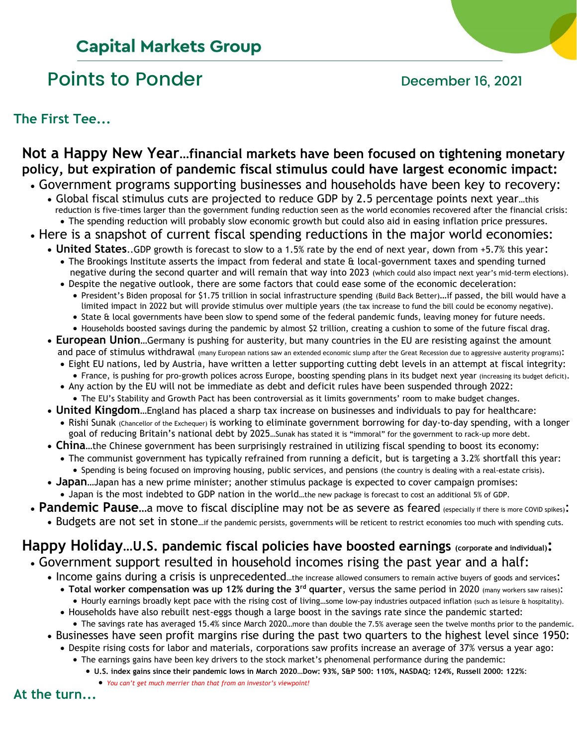## **Capital Markets Group**

## Points to Ponder **December 16, 2021**

**The First Tee...**

### **Not a Happy New Year…financial markets have been focused on tightening monetary policy, but expiration of pandemic fiscal stimulus could have largest economic impact:**

- Government programs supporting businesses and households have been key to recovery:
	- Global fiscal stimulus cuts are projected to reduce GDP by 2.5 percentage points next year…this reduction is five-times larger than the government funding reduction seen as the world economies recovered after the financial crisis: • The spending reduction will probably slow economic growth but could also aid in easing inflation price pressures.
- Here is a snapshot of current fiscal spending reductions in the major world economies:
	- **United States**..GDP growth is forecast to slow to a 1.5% rate by the end of next year, down from +5.7% this year:
		- The Brookings Institute asserts the impact from federal and state & local-government taxes and spending turned negative during the second quarter and will remain that way into 2023 (which could also impact next year's mid-term elections).
		- Despite the negative outlook, there are some factors that could ease some of the economic deceleration: • President's Biden proposal for \$1.75 trillion in social infrastructure spending (Build Back Better)…if passed, the bill would have a limited impact in 2022 but will provide stimulus over multiple years (the tax increase to fund the bill could be economy negative).
			- State & local governments have been slow to spend some of the federal pandemic funds, leaving money for future needs.
			- Households boosted savings during the pandemic by almost \$2 trillion, creating a cushion to some of the future fiscal drag.
	- **European Union**…Germany is pushing for austerity, but many countries in the EU are resisting against the amount and pace of stimulus withdrawal (many European nations saw an extended economic slump after the Great Recession due to aggressive austerity programs):
		- Eight EU nations, led by Austria, have written a letter supporting cutting debt levels in an attempt at fiscal integrity: • France, is pushing for pro-growth polices across Europe, boosting spending plans in its budget next year (increasing its budget deficit).
		- Any action by the EU will not be immediate as debt and deficit rules have been suspended through 2022:
		- The EU's Stability and Growth Pact has been controversial as it limits governments' room to make budget changes.
	- **United Kingdom**…England has placed a sharp tax increase on businesses and individuals to pay for healthcare:
		- Rishi Sunak (Chancellor of the Exchequer) is working to eliminate government borrowing for day-to-day spending, with a longer goal of reducing Britain's national debt by 2025…Sunak has stated it is "immoral" for the government to rack-up more debt.
	- **China**…the Chinese government has been surprisingly restrained in utilizing fiscal spending to boost its economy:
		- The communist government has typically refrained from running a deficit, but is targeting a 3.2% shortfall this year:
			- Spending is being focused on improving housing, public services, and pensions (the country is dealing with a real-estate crisis).
	- **Japan**…Japan has a new prime minister; another stimulus package is expected to cover campaign promises: • Japan is the most indebted to GDP nation in the world…the new package is forecast to cost an additional 5% of GDP.
- **Pandemic Pause**…a move to fiscal discipline may not be as severe as feared (especially if there is more COVID spikes):
	- Budgets are not set in stone...if the pandemic persists, governments will be reticent to restrict economies too much with spending cuts.

### **Happy Holiday…U.S. pandemic fiscal policies have boosted earnings (corporate and individual):** • Government support resulted in household incomes rising the past year and a half:

- - Income gains during a crisis is unprecedented...the increase allowed consumers to remain active buyers of goods and services:
		- **Total worker compensation was up 12% during the 3rd quarter**, versus the same period in 2020 (many workers saw raises): • Hourly earnings broadly kept pace with the rising cost of living…some low-pay industries outpaced inflation (such as leisure & hospitality).
		- Households have also rebuilt nest-eggs though a large boost in the savings rate since the pandemic started:
		- The savings rate has averaged 15.4% since March 2020…more than double the 7.5% average seen the twelve months prior to the pandemic.
	- Businesses have seen profit margins rise during the past two quarters to the highest level since 1950: • Despite rising costs for labor and materials, corporations saw profits increase an average of 37% versus a year ago:
		- The earnings gains have been key drivers to the stock market's phenomenal performance during the pandemic:
			- **U.S. index gains since their pandemic lows in March 2020…Dow: 93%, S&P 500: 110%, NASDAQ: 124%, Russell 2000: 122%**:

• *You can't get much merrier than that from an investor's viewpoint!*